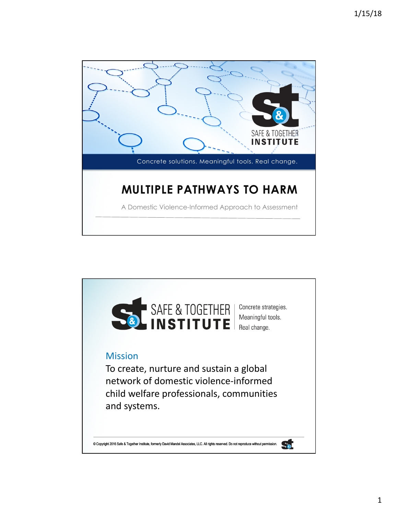

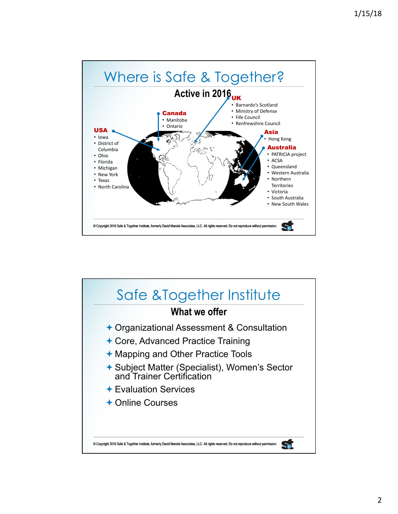

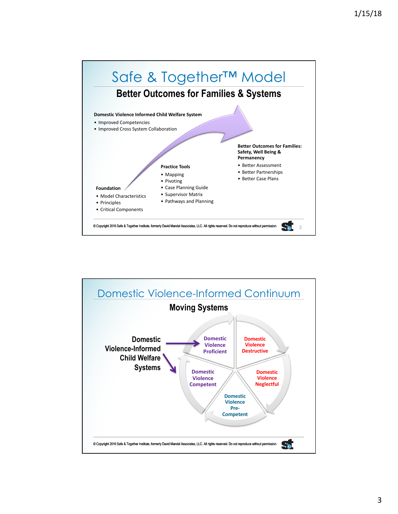

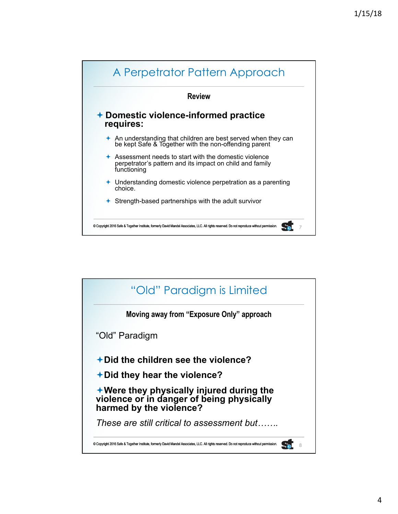

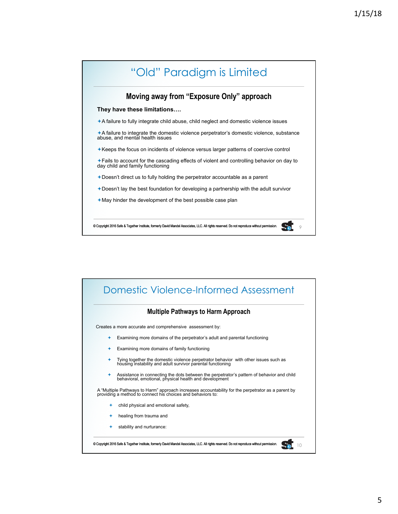

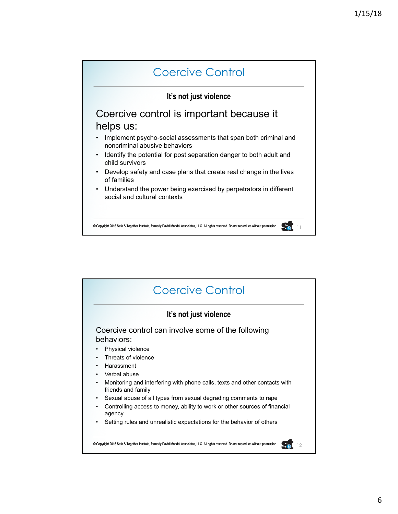

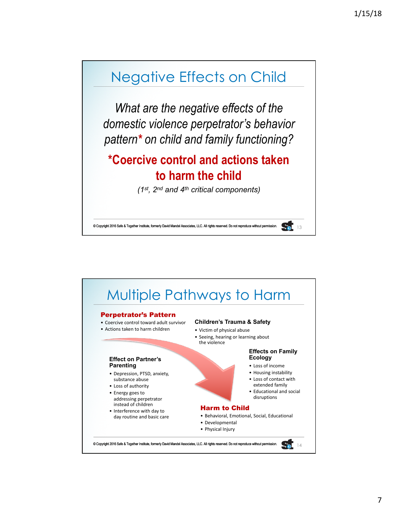## Negative Effects on Child

*What are the negative effects of the domestic violence perpetrator's behavior pattern\* on child and family functioning?* 

## **\*Coercive control and actions taken to harm the child**

*(1st, 2nd and 4th critical components)*

 $\overline{20}$  13

© Copyright 2016 Safe & Together Institute, formerly David Mandel Associates, LLC. All rights reserved. Do not repro

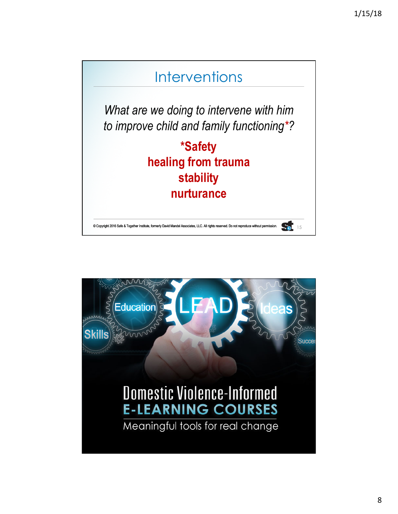## **Interventions**

*What are we doing to intervene with him to improve child and family functioning\*?*

> **\*Safety healing from trauma stability nurturance**

© Copyright 2016 Safe & Together Institute, formerly David Mandel Associates, LLC. All rights reserved. Do not reproduce without permission. 15